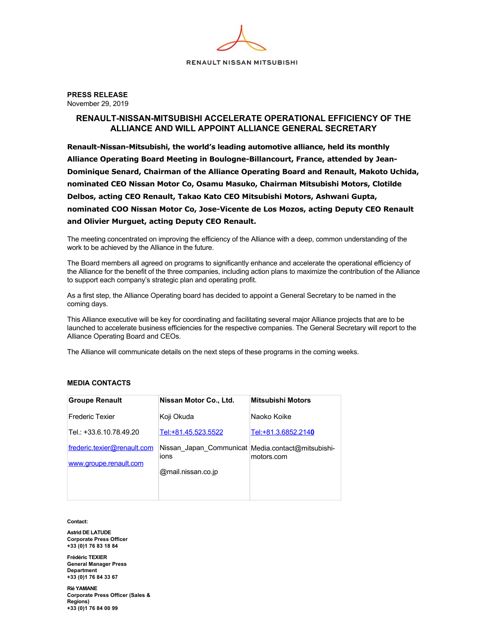

**PRESS RELEASE**  November 29, 2019

## **RENAULT-NISSAN-MITSUBISHI ACCELERATE OPERATIONAL EFFICIENCY OF THE ALLIANCE AND WILL APPOINT ALLIANCE GENERAL SECRETARY**

Renault-Nissan-Mitsubishi, the world's leading automotive alliance, held its monthly Alliance Operating Board Meeting in Boulogne-Billancourt, France, attended by Jean-**Dominique Senard, Chairman of the Alliance Operating Board and Renault, Makoto Uchida, nominated CEO Nissan Motor Co, Osamu Masuko, Chairman Mitsubishi Motors, Clotilde Delbos, acting CEO Renault, Takao Kato CEO Mitsubishi Motors, Ashwani Gupta,** nominated COO Nissan Motor Co, Jose-Vicente de Los Mozos, acting Deputy CEO Renault **and Olivier Murguet, acting Deputy CEO Renault.**

The meeting concentrated on improving the efficiency of the Alliance with a deep, common understanding of the work to be achieved by the Alliance in the future.

The Board members all agreed on programs to significantly enhance and accelerate the operational efficiency of the Alliance for the benefit of the three companies, including action plans to maximize the contribution of the Alliance to support each company's strategic plan and operating profit.

As a first step, the Alliance Operating board has decided to appoint a General Secretary to be named in the coming days.

This Alliance executive will be key for coordinating and facilitating several major Alliance projects that are to be launched to accelerate business efficiencies for the respective companies. The General Secretary will report to the Alliance Operating Board and CEOs.

The Alliance will communicate details on the next steps of these programs in the coming weeks.

## **MEDIA CONTACTS**

| <b>Groupe Renault</b>                                 | Nissan Motor Co., Ltd.                                    | <b>Mitsubishi Motors</b> |
|-------------------------------------------------------|-----------------------------------------------------------|--------------------------|
| <b>Frederic Texier</b>                                | Koji Okuda                                                | Naoko Koike              |
| Tel.: +33.6.10.78.49.20                               | Tel:+81.45.523.5522                                       | Tel:+81.3.6852.2140      |
| frederic.texier@renault.com<br>www.groupe.renault.com | Nissan Japan Communicat Media.contact@mitsubishi-<br>ions | motors.com               |
|                                                       | @mail.nissan.co.jp                                        |                          |
|                                                       |                                                           |                          |

**Contact:**

**Astrid DE LATUDE Corporate Press Officer +33 (0)1 76 83 18 84**

**Frédéric TEXIER General Manager Press Department +33 (0)1 76 84 33 67**

**Rié YAMANE Corporate Press Officer (Sales & Regions) +33 (0)1 76 84 00 99**